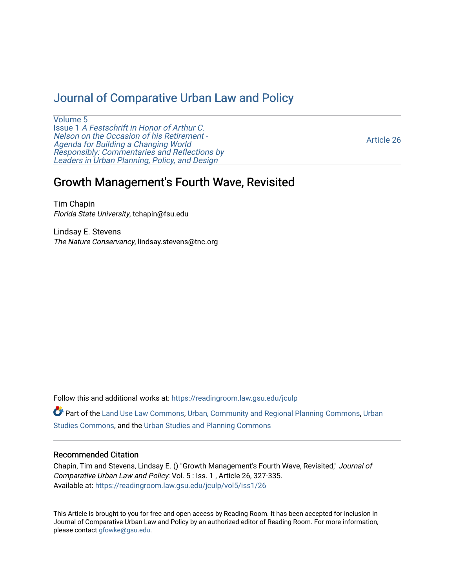# [Journal of Comparative Urban Law and Policy](https://readingroom.law.gsu.edu/jculp)

[Volume 5](https://readingroom.law.gsu.edu/jculp/vol5) Issue 1 [A Festschrift in Honor of Arthur C.](https://readingroom.law.gsu.edu/jculp/vol5/iss1) [Nelson on the Occasion of his Retirement -](https://readingroom.law.gsu.edu/jculp/vol5/iss1)  [Agenda for Building a Changing World](https://readingroom.law.gsu.edu/jculp/vol5/iss1)  [Responsibly: Commentaries and Reflections by](https://readingroom.law.gsu.edu/jculp/vol5/iss1) [Leaders in Urban Planning, Policy, and Design](https://readingroom.law.gsu.edu/jculp/vol5/iss1) 

[Article 26](https://readingroom.law.gsu.edu/jculp/vol5/iss1/26) 

# Growth Management's Fourth Wave, Revisited

Tim Chapin Florida State University, tchapin@fsu.edu

Lindsay E. Stevens The Nature Conservancy, lindsay.stevens@tnc.org

Follow this and additional works at: [https://readingroom.law.gsu.edu/jculp](https://readingroom.law.gsu.edu/jculp?utm_source=readingroom.law.gsu.edu%2Fjculp%2Fvol5%2Fiss1%2F26&utm_medium=PDF&utm_campaign=PDFCoverPages) 

Part of the [Land Use Law Commons](http://network.bepress.com/hgg/discipline/852?utm_source=readingroom.law.gsu.edu%2Fjculp%2Fvol5%2Fiss1%2F26&utm_medium=PDF&utm_campaign=PDFCoverPages), [Urban, Community and Regional Planning Commons,](http://network.bepress.com/hgg/discipline/776?utm_source=readingroom.law.gsu.edu%2Fjculp%2Fvol5%2Fiss1%2F26&utm_medium=PDF&utm_campaign=PDFCoverPages) [Urban](http://network.bepress.com/hgg/discipline/402?utm_source=readingroom.law.gsu.edu%2Fjculp%2Fvol5%2Fiss1%2F26&utm_medium=PDF&utm_campaign=PDFCoverPages) [Studies Commons,](http://network.bepress.com/hgg/discipline/402?utm_source=readingroom.law.gsu.edu%2Fjculp%2Fvol5%2Fiss1%2F26&utm_medium=PDF&utm_campaign=PDFCoverPages) and the [Urban Studies and Planning Commons](http://network.bepress.com/hgg/discipline/436?utm_source=readingroom.law.gsu.edu%2Fjculp%2Fvol5%2Fiss1%2F26&utm_medium=PDF&utm_campaign=PDFCoverPages) 

# Recommended Citation

Chapin, Tim and Stevens, Lindsay E. () "Growth Management's Fourth Wave, Revisited," Journal of Comparative Urban Law and Policy: Vol. 5 : Iss. 1 , Article 26, 327-335. Available at: [https://readingroom.law.gsu.edu/jculp/vol5/iss1/26](https://readingroom.law.gsu.edu/jculp/vol5/iss1/26?utm_source=readingroom.law.gsu.edu%2Fjculp%2Fvol5%2Fiss1%2F26&utm_medium=PDF&utm_campaign=PDFCoverPages)

This Article is brought to you for free and open access by Reading Room. It has been accepted for inclusion in Journal of Comparative Urban Law and Policy by an authorized editor of Reading Room. For more information, please contact [gfowke@gsu.edu](mailto:gfowke@gsu.edu).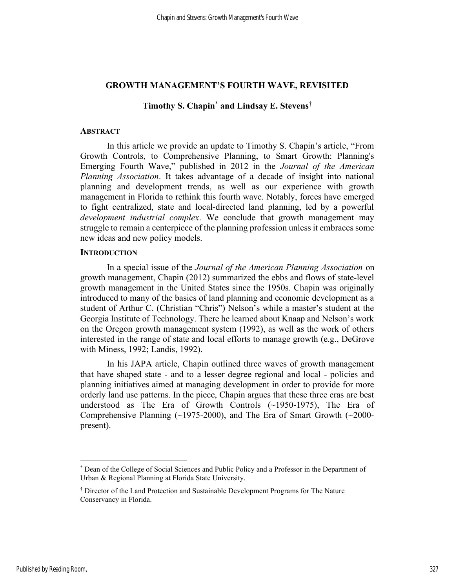### GROWTH MANAGEMENT'S FOURTH WAVE, REVISITED

# Timothy S. Chapin\* and Lindsay E. Stevens†

### **ABSTRACT**

In this article we provide an update to Timothy S. Chapin's article, "From Growth Controls, to Comprehensive Planning, to Smart Growth: Planning's Emerging Fourth Wave," published in 2012 in the Journal of the American Planning Association. It takes advantage of a decade of insight into national planning and development trends, as well as our experience with growth management in Florida to rethink this fourth wave. Notably, forces have emerged to fight centralized, state and local-directed land planning, led by a powerful development industrial complex. We conclude that growth management may struggle to remain a centerpiece of the planning profession unless it embraces some new ideas and new policy models.

#### **INTRODUCTION**

In a special issue of the Journal of the American Planning Association on growth management, Chapin (2012) summarized the ebbs and flows of state-level growth management in the United States since the 1950s. Chapin was originally introduced to many of the basics of land planning and economic development as a student of Arthur C. (Christian "Chris") Nelson's while a master's student at the Georgia Institute of Technology. There he learned about Knaap and Nelson's work on the Oregon growth management system (1992), as well as the work of others interested in the range of state and local efforts to manage growth (e.g., DeGrove with Miness, 1992; Landis, 1992).

In his JAPA article, Chapin outlined three waves of growth management that have shaped state - and to a lesser degree regional and local - policies and planning initiatives aimed at managing development in order to provide for more orderly land use patterns. In the piece, Chapin argues that these three eras are best understood as The Era of Growth Controls (~1950-1975), The Era of Comprehensive Planning (~1975-2000), and The Era of Smart Growth (~2000 present).

<sup>\*</sup> Dean of the College of Social Sciences and Public Policy and a Professor in the Department of Urban & Regional Planning at Florida State University.

<sup>†</sup> Director of the Land Protection and Sustainable Development Programs for The Nature Conservancy in Florida.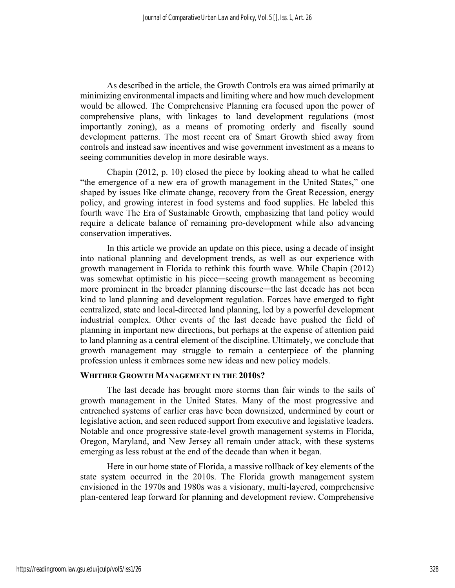As described in the article, the Growth Controls era was aimed primarily at minimizing environmental impacts and limiting where and how much development would be allowed. The Comprehensive Planning era focused upon the power of comprehensive plans, with linkages to land development regulations (most importantly zoning), as a means of promoting orderly and fiscally sound development patterns. The most recent era of Smart Growth shied away from controls and instead saw incentives and wise government investment as a means to seeing communities develop in more desirable ways.

Chapin (2012, p. 10) closed the piece by looking ahead to what he called "the emergence of a new era of growth management in the United States," one shaped by issues like climate change, recovery from the Great Recession, energy policy, and growing interest in food systems and food supplies. He labeled this fourth wave The Era of Sustainable Growth, emphasizing that land policy would require a delicate balance of remaining pro-development while also advancing conservation imperatives.

In this article we provide an update on this piece, using a decade of insight into national planning and development trends, as well as our experience with growth management in Florida to rethink this fourth wave. While Chapin (2012) was somewhat optimistic in his piece—seeing growth management as becoming more prominent in the broader planning discourse—the last decade has not been kind to land planning and development regulation. Forces have emerged to fight centralized, state and local-directed land planning, led by a powerful development industrial complex. Other events of the last decade have pushed the field of planning in important new directions, but perhaps at the expense of attention paid to land planning as a central element of the discipline. Ultimately, we conclude that growth management may struggle to remain a centerpiece of the planning profession unless it embraces some new ideas and new policy models.

### WHITHER GROWTH MANAGEMENT IN THE 2010S?

The last decade has brought more storms than fair winds to the sails of growth management in the United States. Many of the most progressive and entrenched systems of earlier eras have been downsized, undermined by court or legislative action, and seen reduced support from executive and legislative leaders. Notable and once progressive state-level growth management systems in Florida, Oregon, Maryland, and New Jersey all remain under attack, with these systems emerging as less robust at the end of the decade than when it began.

Here in our home state of Florida, a massive rollback of key elements of the state system occurred in the 2010s. The Florida growth management system envisioned in the 1970s and 1980s was a visionary, multi-layered, comprehensive plan-centered leap forward for planning and development review. Comprehensive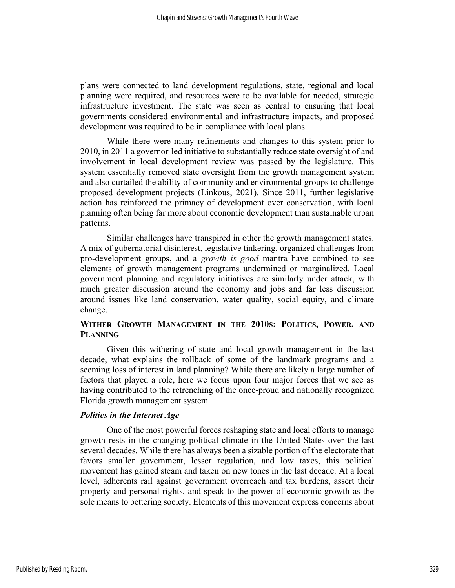plans were connected to land development regulations, state, regional and local planning were required, and resources were to be available for needed, strategic infrastructure investment. The state was seen as central to ensuring that local governments considered environmental and infrastructure impacts, and proposed development was required to be in compliance with local plans.

While there were many refinements and changes to this system prior to 2010, in 2011 a governor-led initiative to substantially reduce state oversight of and involvement in local development review was passed by the legislature. This system essentially removed state oversight from the growth management system and also curtailed the ability of community and environmental groups to challenge proposed development projects (Linkous, 2021). Since 2011, further legislative action has reinforced the primacy of development over conservation, with local planning often being far more about economic development than sustainable urban patterns.

Similar challenges have transpired in other the growth management states. A mix of gubernatorial disinterest, legislative tinkering, organized challenges from pro-development groups, and a growth is good mantra have combined to see elements of growth management programs undermined or marginalized. Local government planning and regulatory initiatives are similarly under attack, with much greater discussion around the economy and jobs and far less discussion around issues like land conservation, water quality, social equity, and climate change.

# WITHER GROWTH MANAGEMENT IN THE 2010S: POLITICS, POWER, AND **PLANNING**

Given this withering of state and local growth management in the last decade, what explains the rollback of some of the landmark programs and a seeming loss of interest in land planning? While there are likely a large number of factors that played a role, here we focus upon four major forces that we see as having contributed to the retrenching of the once-proud and nationally recognized Florida growth management system.

# Politics in the Internet Age

One of the most powerful forces reshaping state and local efforts to manage growth rests in the changing political climate in the United States over the last several decades. While there has always been a sizable portion of the electorate that favors smaller government, lesser regulation, and low taxes, this political movement has gained steam and taken on new tones in the last decade. At a local level, adherents rail against government overreach and tax burdens, assert their property and personal rights, and speak to the power of economic growth as the sole means to bettering society. Elements of this movement express concerns about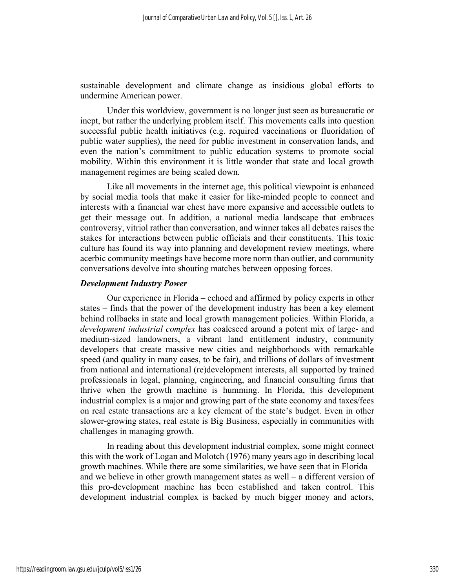sustainable development and climate change as insidious global efforts to undermine American power.

Under this worldview, government is no longer just seen as bureaucratic or inept, but rather the underlying problem itself. This movements calls into question successful public health initiatives (e.g. required vaccinations or fluoridation of public water supplies), the need for public investment in conservation lands, and even the nation's commitment to public education systems to promote social mobility. Within this environment it is little wonder that state and local growth management regimes are being scaled down.

Like all movements in the internet age, this political viewpoint is enhanced by social media tools that make it easier for like-minded people to connect and interests with a financial war chest have more expansive and accessible outlets to get their message out. In addition, a national media landscape that embraces controversy, vitriol rather than conversation, and winner takes all debates raises the stakes for interactions between public officials and their constituents. This toxic culture has found its way into planning and development review meetings, where acerbic community meetings have become more norm than outlier, and community conversations devolve into shouting matches between opposing forces.

# Development Industry Power

Our experience in Florida – echoed and affirmed by policy experts in other states – finds that the power of the development industry has been a key element behind rollbacks in state and local growth management policies. Within Florida, a development industrial complex has coalesced around a potent mix of large- and medium-sized landowners, a vibrant land entitlement industry, community developers that create massive new cities and neighborhoods with remarkable speed (and quality in many cases, to be fair), and trillions of dollars of investment from national and international (re)development interests, all supported by trained professionals in legal, planning, engineering, and financial consulting firms that thrive when the growth machine is humming. In Florida, this development industrial complex is a major and growing part of the state economy and taxes/fees on real estate transactions are a key element of the state's budget. Even in other slower-growing states, real estate is Big Business, especially in communities with challenges in managing growth.

In reading about this development industrial complex, some might connect this with the work of Logan and Molotch (1976) many years ago in describing local growth machines. While there are some similarities, we have seen that in Florida – and we believe in other growth management states as well – a different version of this pro-development machine has been established and taken control. This development industrial complex is backed by much bigger money and actors,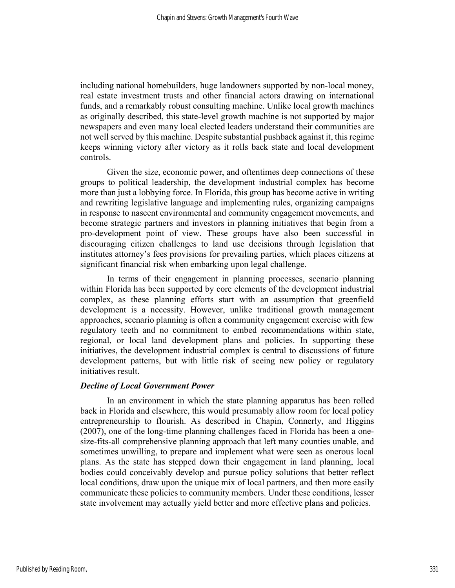including national homebuilders, huge landowners supported by non-local money, real estate investment trusts and other financial actors drawing on international funds, and a remarkably robust consulting machine. Unlike local growth machines as originally described, this state-level growth machine is not supported by major newspapers and even many local elected leaders understand their communities are not well served by this machine. Despite substantial pushback against it, this regime keeps winning victory after victory as it rolls back state and local development controls.

Given the size, economic power, and oftentimes deep connections of these groups to political leadership, the development industrial complex has become more than just a lobbying force. In Florida, this group has become active in writing and rewriting legislative language and implementing rules, organizing campaigns in response to nascent environmental and community engagement movements, and become strategic partners and investors in planning initiatives that begin from a pro-development point of view. These groups have also been successful in discouraging citizen challenges to land use decisions through legislation that institutes attorney's fees provisions for prevailing parties, which places citizens at significant financial risk when embarking upon legal challenge.

In terms of their engagement in planning processes, scenario planning within Florida has been supported by core elements of the development industrial complex, as these planning efforts start with an assumption that greenfield development is a necessity. However, unlike traditional growth management approaches, scenario planning is often a community engagement exercise with few regulatory teeth and no commitment to embed recommendations within state, regional, or local land development plans and policies. In supporting these initiatives, the development industrial complex is central to discussions of future development patterns, but with little risk of seeing new policy or regulatory initiatives result.

# Decline of Local Government Power

In an environment in which the state planning apparatus has been rolled back in Florida and elsewhere, this would presumably allow room for local policy entrepreneurship to flourish. As described in Chapin, Connerly, and Higgins (2007), one of the long-time planning challenges faced in Florida has been a onesize-fits-all comprehensive planning approach that left many counties unable, and sometimes unwilling, to prepare and implement what were seen as onerous local plans. As the state has stepped down their engagement in land planning, local bodies could conceivably develop and pursue policy solutions that better reflect local conditions, draw upon the unique mix of local partners, and then more easily communicate these policies to community members. Under these conditions, lesser state involvement may actually yield better and more effective plans and policies.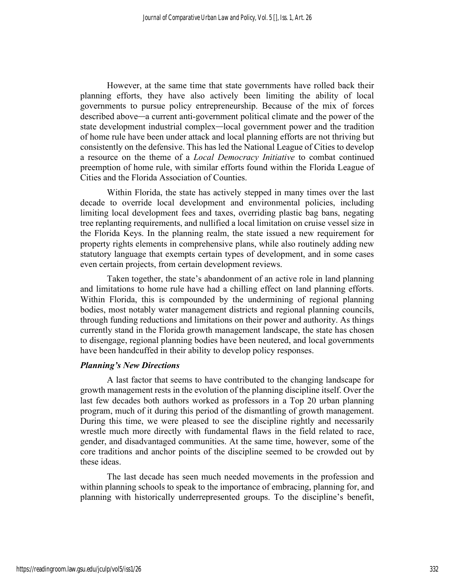However, at the same time that state governments have rolled back their planning efforts, they have also actively been limiting the ability of local governments to pursue policy entrepreneurship. Because of the mix of forces described above—a current anti-government political climate and the power of the state development industrial complex—local government power and the tradition of home rule have been under attack and local planning efforts are not thriving but consistently on the defensive. This has led the National League of Cities to develop a resource on the theme of a Local Democracy Initiative to combat continued preemption of home rule, with similar efforts found within the Florida League of Cities and the Florida Association of Counties.

Within Florida, the state has actively stepped in many times over the last decade to override local development and environmental policies, including limiting local development fees and taxes, overriding plastic bag bans, negating tree replanting requirements, and nullified a local limitation on cruise vessel size in the Florida Keys. In the planning realm, the state issued a new requirement for property rights elements in comprehensive plans, while also routinely adding new statutory language that exempts certain types of development, and in some cases even certain projects, from certain development reviews.

Taken together, the state's abandonment of an active role in land planning and limitations to home rule have had a chilling effect on land planning efforts. Within Florida, this is compounded by the undermining of regional planning bodies, most notably water management districts and regional planning councils, through funding reductions and limitations on their power and authority. As things currently stand in the Florida growth management landscape, the state has chosen to disengage, regional planning bodies have been neutered, and local governments have been handcuffed in their ability to develop policy responses.

# Planning's New Directions

A last factor that seems to have contributed to the changing landscape for growth management rests in the evolution of the planning discipline itself. Over the last few decades both authors worked as professors in a Top 20 urban planning program, much of it during this period of the dismantling of growth management. During this time, we were pleased to see the discipline rightly and necessarily wrestle much more directly with fundamental flaws in the field related to race, gender, and disadvantaged communities. At the same time, however, some of the core traditions and anchor points of the discipline seemed to be crowded out by these ideas.

The last decade has seen much needed movements in the profession and within planning schools to speak to the importance of embracing, planning for, and planning with historically underrepresented groups. To the discipline's benefit,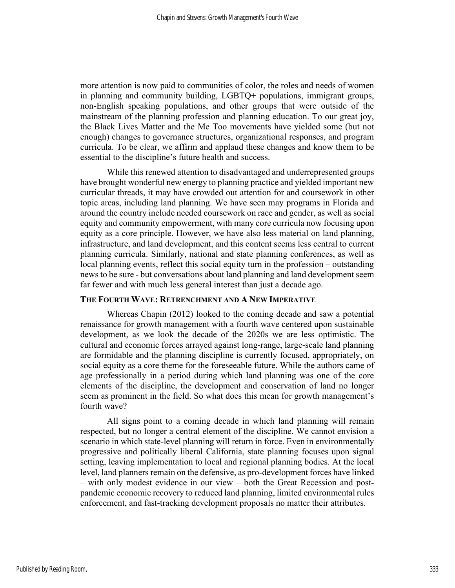more attention is now paid to communities of color, the roles and needs of women in planning and community building, LGBTQ+ populations, immigrant groups, non-English speaking populations, and other groups that were outside of the mainstream of the planning profession and planning education. To our great joy, the Black Lives Matter and the Me Too movements have yielded some (but not enough) changes to governance structures, organizational responses, and program curricula. To be clear, we affirm and applaud these changes and know them to be essential to the discipline's future health and success.

While this renewed attention to disadvantaged and underrepresented groups have brought wonderful new energy to planning practice and yielded important new curricular threads, it may have crowded out attention for and coursework in other topic areas, including land planning. We have seen may programs in Florida and around the country include needed coursework on race and gender, as well as social equity and community empowerment, with many core curricula now focusing upon equity as a core principle. However, we have also less material on land planning, infrastructure, and land development, and this content seems less central to current planning curricula. Similarly, national and state planning conferences, as well as local planning events, reflect this social equity turn in the profession – outstanding news to be sure - but conversations about land planning and land development seem far fewer and with much less general interest than just a decade ago.

# THE FOURTH WAVE: RETRENCHMENT AND A NEW IMPERATIVE

Whereas Chapin (2012) looked to the coming decade and saw a potential renaissance for growth management with a fourth wave centered upon sustainable development, as we look the decade of the 2020s we are less optimistic. The cultural and economic forces arrayed against long-range, large-scale land planning are formidable and the planning discipline is currently focused, appropriately, on social equity as a core theme for the foreseeable future. While the authors came of age professionally in a period during which land planning was one of the core elements of the discipline, the development and conservation of land no longer seem as prominent in the field. So what does this mean for growth management's fourth wave?

All signs point to a coming decade in which land planning will remain respected, but no longer a central element of the discipline. We cannot envision a scenario in which state-level planning will return in force. Even in environmentally progressive and politically liberal California, state planning focuses upon signal setting, leaving implementation to local and regional planning bodies. At the local level, land planners remain on the defensive, as pro-development forces have linked – with only modest evidence in our view – both the Great Recession and postpandemic economic recovery to reduced land planning, limited environmental rules enforcement, and fast-tracking development proposals no matter their attributes.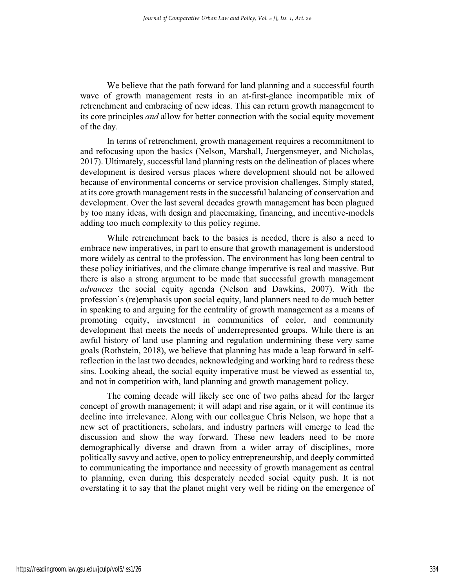We believe that the path forward for land planning and a successful fourth wave of growth management rests in an at-first-glance incompatible mix of retrenchment and embracing of new ideas. This can return growth management to its core principles and allow for better connection with the social equity movement of the day.

In terms of retrenchment, growth management requires a recommitment to and refocusing upon the basics (Nelson, Marshall, Juergensmeyer, and Nicholas, 2017). Ultimately, successful land planning rests on the delineation of places where development is desired versus places where development should not be allowed because of environmental concerns or service provision challenges. Simply stated, at its core growth management rests in the successful balancing of conservation and development. Over the last several decades growth management has been plagued by too many ideas, with design and placemaking, financing, and incentive-models adding too much complexity to this policy regime.

While retrenchment back to the basics is needed, there is also a need to embrace new imperatives, in part to ensure that growth management is understood more widely as central to the profession. The environment has long been central to these policy initiatives, and the climate change imperative is real and massive. But there is also a strong argument to be made that successful growth management advances the social equity agenda (Nelson and Dawkins, 2007). With the profession's (re)emphasis upon social equity, land planners need to do much better in speaking to and arguing for the centrality of growth management as a means of promoting equity, investment in communities of color, and community development that meets the needs of underrepresented groups. While there is an awful history of land use planning and regulation undermining these very same goals (Rothstein, 2018), we believe that planning has made a leap forward in selfreflection in the last two decades, acknowledging and working hard to redress these sins. Looking ahead, the social equity imperative must be viewed as essential to, and not in competition with, land planning and growth management policy.

The coming decade will likely see one of two paths ahead for the larger concept of growth management; it will adapt and rise again, or it will continue its decline into irrelevance. Along with our colleague Chris Nelson, we hope that a new set of practitioners, scholars, and industry partners will emerge to lead the discussion and show the way forward. These new leaders need to be more demographically diverse and drawn from a wider array of disciplines, more politically savvy and active, open to policy entrepreneurship, and deeply committed to communicating the importance and necessity of growth management as central to planning, even during this desperately needed social equity push. It is not overstating it to say that the planet might very well be riding on the emergence of